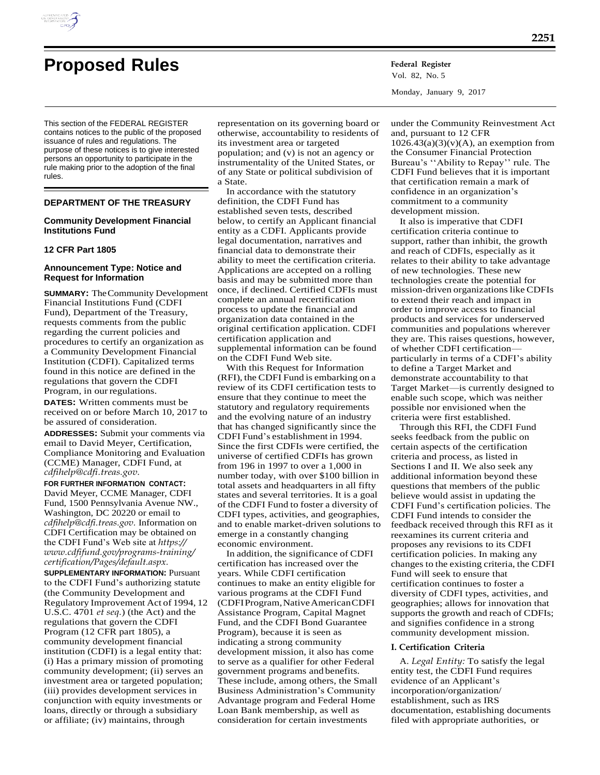

# **Proposed Rules Federal Register**

This section of the FEDERAL REGISTER contains notices to the public of the proposed issuance of rules and regulations. The purpose of these notices is to give interested persons an opportunity to participate in the rule making prior to the adoption of the final rules.

# **DEPARTMENT OF THE TREASURY**

# **Community Development Financial Institutions Fund**

#### **12 CFR Part 1805**

# **Announcement Type: Notice and Request for Information**

**SUMMARY:** The Community Development Financial Institutions Fund (CDFI Fund), Department of the Treasury, requests comments from the public regarding the current policies and procedures to certify an organization as a Community Development Financial Institution (CDFI). Capitalized terms found in this notice are defined in the regulations that govern the CDFI Program, in our regulations.

**DATES:** Written comments must be received on or before March 10, 2017 to be assured of consideration.

**ADDRESSES:** Submit your comments via email to David Meyer, Certification, Compliance Monitoring and Evaluation (CCME) Manager, CDFI Fund, at *[cdfihelp@cdfi.treas.gov.](mailto:cdfihelp@cdfi.treas.gov)*

**FOR FURTHER INFORMATION CONTACT:**  David Meyer, CCME Manager, CDFI Fund, 1500 Pennsylvania Avenue NW., Washington, DC 20220 or email to *[cdfihelp@cdfi.treas.gov.](mailto:cdfihelp@cdfi.treas.gov)* Information on CDFI Certification may be obtained on the CDFI Fund's Web site at *[https://](https://www.cdfifund.gov/programs-training/certification/Pages/default.aspx) [www.cdfifund.gov/programs-training/](https://www.cdfifund.gov/programs-training/certification/Pages/default.aspx) [certification/Pages/default.aspx.](https://www.cdfifund.gov/programs-training/certification/Pages/default.aspx)*

**SUPPLEMENTARY INFORMATION:** Pursuant to the CDFI Fund's authorizing statute (the Community Development and Regulatory Improvement Act of 1994, 12 U.S.C. 4701 *et seq.*) (the Act) and the regulations that govern the CDFI Program (12 CFR part 1805), a community development financial institution (CDFI) is a legal entity that: (i) Has a primary mission of promoting community development; (ii) serves an investment area or targeted population; (iii) provides development services in conjunction with equity investments or loans, directly or through a subsidiary or affiliate; (iv) maintains, through

representation on its governing board or otherwise, accountability to residents of its investment area or targeted population; and (v) is not an agency or instrumentality of the United States, or of any State or political subdivision of a State.

In accordance with the statutory definition, the CDFI Fund has established seven tests, described below, to certify an Applicant financial entity as a CDFI. Applicants provide legal documentation, narratives and financial data to demonstrate their ability to meet the certification criteria. Applications are accepted on a rolling basis and may be submitted more than once, if declined. Certified CDFIs must complete an annual recertification process to update the financial and organization data contained in the original certification application. CDFI certification application and supplemental information can be found on the CDFI Fund Web site.

With this Request for Information (RFI), the CDFI Fund is embarking on a review of its CDFI certification tests to ensure that they continue to meet the statutory and regulatory requirements and the evolving nature of an industry that has changed significantly since the CDFI Fund's establishment in 1994. Since the first CDFIs were certified, the universe of certified CDFIs has grown from 196 in 1997 to over a 1,000 in number today, with over \$100 billion in total assets and headquarters in all fifty states and several territories. It is a goal of the CDFI Fund to foster a diversity of CDFI types, activities, and geographies, and to enable market-driven solutions to emerge in a constantly changing economic environment.

In addition, the significance of CDFI certification has increased over the years. While CDFI certification continues to make an entity eligible for various programs at the CDFI Fund (CDFI Program, Native American CDFI Assistance Program, Capital Magnet Fund, and the CDFI Bond Guarantee Program), because it is seen as indicating a strong community development mission, it also has come to serve as a qualifier for other Federal government programs and benefits. These include, among others, the Small Business Administration's Community Advantage program and Federal Home Loan Bank membership, as well as consideration for certain investments

Vol. 82, No. 5 Monday, January 9, 2017

under the Community Reinvestment Act and, pursuant to 12 CFR  $1026.43(a)(3)(v)(A)$ , an exemption from the Consumer Financial Protection Bureau's ''Ability to Repay'' rule. The CDFI Fund believes that it is important that certification remain a mark of confidence in an organization's commitment to a community development mission.

It also is imperative that CDFI certification criteria continue to support, rather than inhibit, the growth and reach of CDFIs, especially as it relates to their ability to take advantage of new technologies. These new technologies create the potential for mission-driven organizations like CDFIs to extend their reach and impact in order to improve access to financial products and services for underserved communities and populations wherever they are. This raises questions, however, of whether CDFI certification particularly in terms of a CDFI's ability to define a Target Market and demonstrate accountability to that Target Market—is currently designed to enable such scope, which was neither possible nor envisioned when the criteria were first established.

Through this RFI, the CDFI Fund seeks feedback from the public on certain aspects of the certification criteria and process, as listed in Sections I and II. We also seek any additional information beyond these questions that members of the public believe would assist in updating the CDFI Fund's certification policies. The CDFI Fund intends to consider the feedback received through this RFI as it reexamines its current criteria and proposes any revisions to its CDFI certification policies. In making any changes to the existing criteria, the CDFI Fund will seek to ensure that certification continues to foster a diversity of CDFI types, activities, and geographies; allows for innovation that supports the growth and reach of CDFIs; and signifies confidence in a strong community development mission.

#### **I. Certification Criteria**

A. *Legal Entity:* To satisfy the legal entity test, the CDFI Fund requires evidence of an Applicant's incorporation/organization/ establishment, such as IRS documentation, establishing documents filed with appropriate authorities, or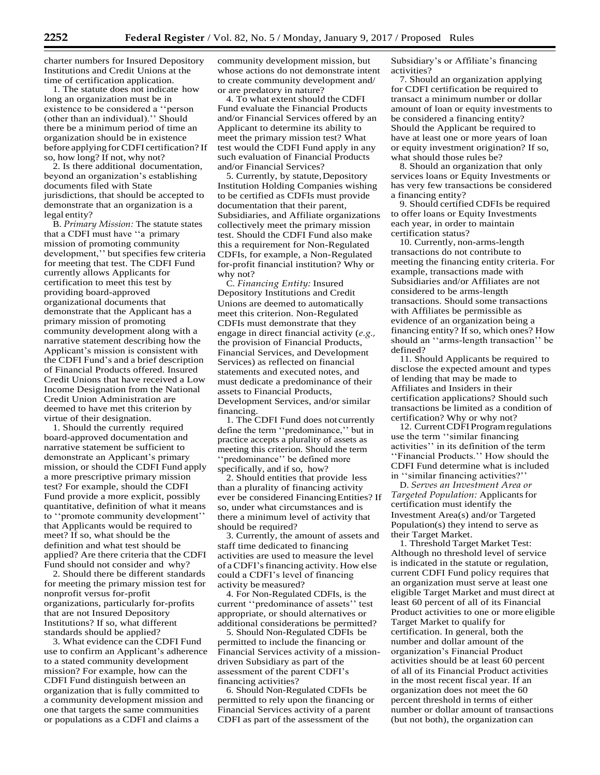charter numbers for Insured Depository Institutions and Credit Unions at the time of certification application.

1. The statute does not indicate how long an organization must be in existence to be considered a ''person (other than an individual).'' Should there be a minimum period of time an organization should be in existence before applying forCDFI certification? If so, how long? If not, why not?

2. Is there additional documentation, beyond an organization's establishing documents filed with State jurisdictions, that should be accepted to demonstrate that an organization is a legal entity?

B. *Primary Mission:* The statute states that a CDFI must have ''a primary mission of promoting community development,'' but specifies few criteria for meeting that test. The CDFI Fund currently allows Applicants for certification to meet this test by providing board-approved organizational documents that demonstrate that the Applicant has a primary mission of promoting community development along with a narrative statement describing how the Applicant's mission is consistent with the CDFI Fund's and a brief description of Financial Products offered. Insured Credit Unions that have received a Low Income Designation from the National Credit Union Administration are deemed to have met this criterion by virtue of their designation.

1. Should the currently required board-approved documentation and narrative statement be sufficient to demonstrate an Applicant's primary mission, or should the CDFI Fund apply a more prescriptive primary mission test? For example, should the CDFI Fund provide a more explicit, possibly quantitative, definition of what it means to ''promote community development'' that Applicants would be required to meet? If so, what should be the definition and what test should be applied? Are there criteria that the CDFI Fund should not consider and why?

2. Should there be different standards for meeting the primary mission test for nonprofit versus for-profit organizations, particularly for-profits that are not Insured Depository Institutions? If so, what different standards should be applied?

3. What evidence can the CDFI Fund use to confirm an Applicant's adherence to a stated community development mission? For example, how can the CDFI Fund distinguish between an organization that is fully committed to a community development mission and one that targets the same communities or populations as a CDFI and claims a

community development mission, but whose actions do not demonstrate intent to create community development and/ or are predatory in nature?

4. To what extent should the CDFI Fund evaluate the Financial Products and/or Financial Services offered by an Applicant to determine its ability to meet the primary mission test? What test would the CDFI Fund apply in any such evaluation of Financial Products and/or Financial Services?

5. Currently, by statute,Depository Institution Holding Companies wishing to be certified as CDFIs must provide documentation that their parent, Subsidiaries, and Affiliate organizations collectively meet the primary mission test. Should the CDFI Fund also make this a requirement for Non-Regulated CDFIs, for example, a Non-Regulated for-profit financial institution? Why or why not?

C. *Financing Entity:* Insured Depository Institutions and Credit Unions are deemed to automatically meet this criterion. Non-Regulated CDFIs must demonstrate that they engage in direct financial activity (*e.g.,*  the provision of Financial Products, Financial Services, and Development Services) as reflected on financial statements and executed notes, and must dedicate a predominance of their assets to Financial Products, Development Services, and/or similar financing.

1. The CDFI Fund does notcurrently define the term ''predominance,'' but in practice accepts a plurality of assets as meeting this criterion. Should the term ''predominance'' be defined more specifically, and if so, how?

2. Should entities that provide less than a plurality of financing activity ever be considered FinancingEntities? If so, under what circumstances and is there a minimum level of activity that should be required?

3. Currently, the amount of assets and staff time dedicated to financing activities are used to measure the level of a CDFI's financing activity. How else could a CDFI's level of financing activity be measured?

4. For Non-Regulated CDFIs, is the current ''predominance of assets'' test appropriate, or should alternatives or additional considerations be permitted?

5. Should Non-Regulated CDFIs be permitted to include the financing or Financial Services activity of a missiondriven Subsidiary as part of the assessment of the parent CDFI's financing activities?

6. Should Non-Regulated CDFIs be permitted to rely upon the financing or Financial Services activity of a parent CDFI as part of the assessment of the

Subsidiary's or Affiliate's financing activities?

7. Should an organization applying for CDFI certification be required to transact a minimum number or dollar amount of loan or equity investments to be considered a financing entity? Should the Applicant be required to have at least one or more years of loan or equity investment origination? If so, what should those rules be?

8. Should an organization that only services loans or Equity Investments or has very few transactions be considered a financing entity?

9. Should certified CDFIs be required to offer loans or Equity Investments each year, in order to maintain certification status?

10. Currently, non-arms-length transactions do not contribute to meeting the financing entity criteria. For example, transactions made with Subsidiaries and/or Affiliates are not considered to be arms-length transactions. Should some transactions with Affiliates be permissible as evidence of an organization being a financing entity? If so, which ones? How should an ''arms-length transaction'' be defined?

11. Should Applicants be required to disclose the expected amount and types of lending that may be made to Affiliates and Insiders in their certification applications? Should such transactions be limited as a condition of certification? Why or why not?

12. CurrentCDFIProgramregulations use the term ''similar financing activities'' in its definition of the term ''Financial Products.'' How should the CDFI Fund determine what is included in ''similar financing activities?''

D. *Serves an Investment Area or Targeted Population:* Applicantsfor certification must identify the Investment Area(s) and/or Targeted Population(s) they intend to serve as their Target Market.

1. Threshold Target Market Test: Although no threshold level of service is indicated in the statute or regulation, current CDFI Fund policy requires that an organization must serve at least one eligible Target Market and must direct at least 60 percent of all of its Financial Product activities to one or more eligible Target Market to qualify for certification. In general, both the number and dollar amount of the organization's Financial Product activities should be at least 60 percent of all of its Financial Product activities in the most recent fiscal year. If an organization does not meet the 60 percent threshold in terms of either number or dollar amount of transactions (but not both), the organization can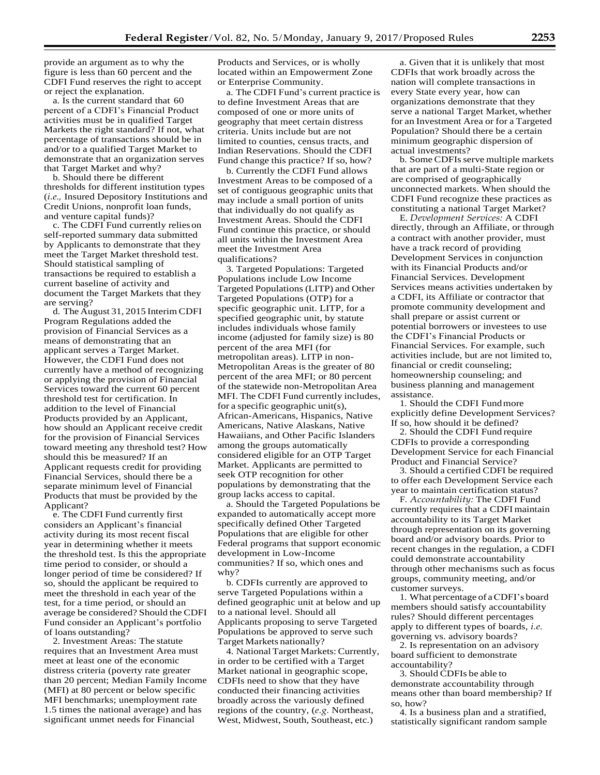provide an argument as to why the figure is less than 60 percent and the CDFI Fund reserves the right to accept or reject the explanation.

a. Is the current standard that 60 percent of a CDFI's Financial Product activities must be in qualified Target Markets the right standard? If not, what percentage of transactions should be in and/or to a qualified Target Market to demonstrate that an organization serves that Target Market and why?

b. Should there be different thresholds for different institution types (*i.e.,* Insured Depository Institutions and Credit Unions, nonprofit loan funds, and venture capital funds)?

c. The CDFI Fund currently relieson self-reported summary data submitted by Applicants to demonstrate that they meet the Target Market threshold test. Should statistical sampling of transactions be required to establish a current baseline of activity and document the Target Markets that they are serving?

d. The August 31, 2015 Interim CDFI Program Regulations added the provision of Financial Services as a means of demonstrating that an applicant serves a Target Market. However, the CDFI Fund does not currently have a method of recognizing or applying the provision of Financial Services toward the current 60 percent threshold test for certification. In addition to the level of Financial Products provided by an Applicant, how should an Applicant receive credit for the provision of Financial Services toward meeting any threshold test? How should this be measured? If an Applicant requests credit for providing Financial Services, should there be a separate minimum level of Financial Products that must be provided by the Applicant?

e. The CDFI Fund currently first considers an Applicant's financial activity during its most recent fiscal year in determining whether it meets the threshold test. Is this the appropriate time period to consider, or should a longer period of time be considered? If so, should the applicant be required to meet the threshold in each year of the test, for a time period, or should an average be considered? Should the CDFI Fund consider an Applicant's portfolio of loans outstanding?

2. Investment Areas: The statute requires that an Investment Area must meet at least one of the economic distress criteria (poverty rate greater than 20 percent; Median Family Income (MFI) at 80 percent or below specific MFI benchmarks; unemployment rate 1.5 times the national average) and has significant unmet needs for Financial

Products and Services, or is wholly located within an Empowerment Zone or Enterprise Community.

a. The CDFI Fund's current practice is to define Investment Areas that are composed of one or more units of geography that meet certain distress criteria. Units include but are not limited to counties, census tracts, and Indian Reservations. Should the CDFI Fund change this practice? If so, how?

b. Currently the CDFI Fund allows Investment Areas to be composed of a set of contiguous geographic units that may include a small portion of units that individually do not qualify as Investment Areas. Should the CDFI Fund continue this practice, or should all units within the Investment Area meet the Investment Area qualifications?

3. Targeted Populations: Targeted Populations include Low Income Targeted Populations (LITP) and Other Targeted Populations (OTP) for a specific geographic unit. LITP, for a specified geographic unit, by statute includes individuals whose family income (adjusted for family size) is 80 percent of the area MFI (for metropolitan areas). LITP in non-Metropolitan Areas is the greater of 80 percent of the area MFI; or 80 percent of the statewide non-Metropolitan Area MFI. The CDFI Fund currently includes, for a specific geographic unit(s), African-Americans, Hispanics, Native Americans, Native Alaskans, Native Hawaiians, and Other Pacific Islanders among the groups automatically considered eligible for an OTP Target Market. Applicants are permitted to seek OTP recognition for other populations by demonstrating that the group lacks access to capital.

a. Should the Targeted Populations be expanded to automatically accept more specifically defined Other Targeted Populations that are eligible for other Federal programs that support economic development in Low-Income communities? If so, which ones and why?

b. CDFIs currently are approved to serve Targeted Populations within a defined geographic unit at below and up to a national level. Should all Applicants proposing to serve Targeted Populations be approved to serve such Target Markets nationally?

4. National Target Markets:Currently, in order to be certified with a Target Market national in geographic scope, CDFIs need to show that they have conducted their financing activities broadly across the variously defined regions of the country, (*e.g.* Northeast, West, Midwest, South, Southeast, etc.)

a. Given that it is unlikely that most CDFIs that work broadly across the nation will complete transactions in every State every year, how can organizations demonstrate that they serve a national Target Market, whether for an Investment Area or for a Targeted Population? Should there be a certain minimum geographic dispersion of actual investments?

b. Some CDFIs serve multiple markets that are part of a multi-State region or are comprised of geographically unconnected markets. When should the CDFI Fund recognize these practices as constituting a national Target Market?

E. *Development Services:* A CDFI directly, through an Affiliate, or through a contract with another provider, must have a track record of providing Development Services in conjunction with its Financial Products and/or Financial Services. Development Services means activities undertaken by a CDFI, its Affiliate or contractor that promote community development and shall prepare or assist current or potential borrowers or investees to use the CDFI's Financial Products or Financial Services. For example, such activities include, but are not limited to, financial or credit counseling; homeownership counseling; and business planning and management assistance.

1. Should the CDFI Fundmore explicitly define Development Services? If so, how should it be defined?

2. Should the CDFI Fund require CDFIs to provide a corresponding Development Service for each Financial Product and Financial Service?

3. Should a certified CDFI be required to offer each Development Service each year to maintain certification status?

F. *Accountability:* The CDFI Fund currently requires that a CDFImaintain accountability to its Target Market through representation on its governing board and/or advisory boards. Prior to recent changes in the regulation, a CDFI could demonstrate accountability through other mechanisms such as focus groups, community meeting, and/or customer surveys.

1. What percentage of aCDFI's board members should satisfy accountability rules? Should different percentages apply to different types of boards, *i.e.*  governing vs. advisory boards?

2. Is representation on an advisory board sufficient to demonstrate accountability?

3. Should CDFIs be able to demonstrate accountability through means other than board membership? If so, how?

4. Is a business plan and a stratified, statistically significant random sample